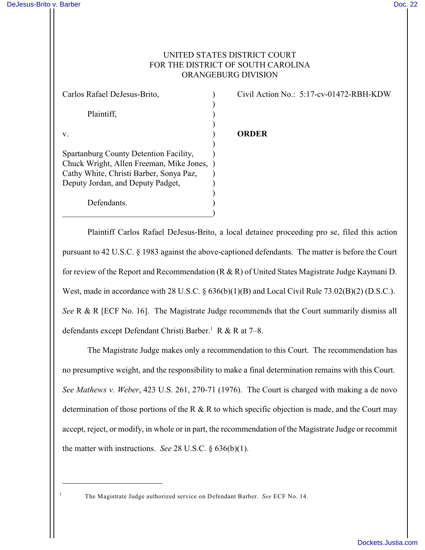1

## UNITED STATES DISTRICT COURT FOR THE DISTRICT OF SOUTH CAROLINA ORANGEBURG DIVISION

| Carlos Rafael DeJesus-Brito,             |  |
|------------------------------------------|--|
|                                          |  |
| Plaintiff,                               |  |
|                                          |  |
| V.                                       |  |
|                                          |  |
| Spartanburg County Detention Facility,   |  |
| Chuck Wright, Allen Freeman, Mike Jones, |  |
| Cathy White, Christi Barber, Sonya Paz,  |  |
| Deputy Jordan, and Deputy Padget,        |  |
|                                          |  |
| Defendants.                              |  |
|                                          |  |

Civil Action No.: 5:17-cv-01472-RBH-KDW

## v. ) **ORDER**

Plaintiff Carlos Rafael DeJesus-Brito, a local detainee proceeding pro se, filed this action pursuant to 42 U.S.C. § 1983 against the above-captioned defendants. The matter is before the Court for review of the Report and Recommendation (R & R) of United States Magistrate Judge Kaymani D. West, made in accordance with 28 U.S.C. § 636(b)(1)(B) and Local Civil Rule 73.02(B)(2) (D.S.C.). *See* R & R [ECF No. 16]. The Magistrate Judge recommends that the Court summarily dismiss all defendants except Defendant Christi Barber.<sup>1</sup> R & R at  $7-8$ .

The Magistrate Judge makes only a recommendation to this Court. The recommendation has no presumptive weight, and the responsibility to make a final determination remains with this Court. *See Mathews v. Weber*, 423 U.S. 261, 270-71 (1976). The Court is charged with making a de novo determination of those portions of the R  $\&$  R to which specific objection is made, and the Court may accept, reject, or modify, in whole or in part, the recommendation of the Magistrate Judge or recommit the matter with instructions. *See* 28 U.S.C. § 636(b)(1).

The Magistrate Judge authorized service on Defendant Barber. *See* ECF No. 14.